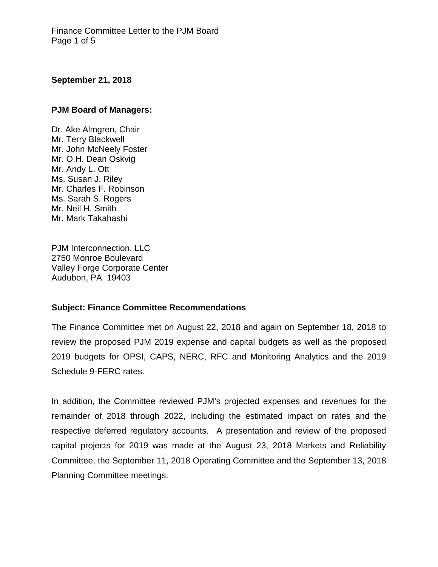#### **September 21, 2018**

### **PJM Board of Managers:**

Dr. Ake Almgren, Chair Mr. Terry Blackwell Mr. John McNeely Foster Mr. O.H. Dean Oskvig Mr. Andy L. Ott Ms. Susan J. Riley Mr. Charles F. Robinson Ms. Sarah S. Rogers Mr. Neil H. Smith Mr. Mark Takahashi

PJM Interconnection, LLC 2750 Monroe Boulevard Valley Forge Corporate Center Audubon, PA 19403

#### **Subject: Finance Committee Recommendations**

The Finance Committee met on August 22, 2018 and again on September 18, 2018 to review the proposed PJM 2019 expense and capital budgets as well as the proposed 2019 budgets for OPSI, CAPS, NERC, RFC and Monitoring Analytics and the 2019 Schedule 9-FERC rates.

In addition, the Committee reviewed PJM's projected expenses and revenues for the remainder of 2018 through 2022, including the estimated impact on rates and the respective deferred regulatory accounts. A presentation and review of the proposed capital projects for 2019 was made at the August 23, 2018 Markets and Reliability Committee, the September 11, 2018 Operating Committee and the September 13, 2018 Planning Committee meetings.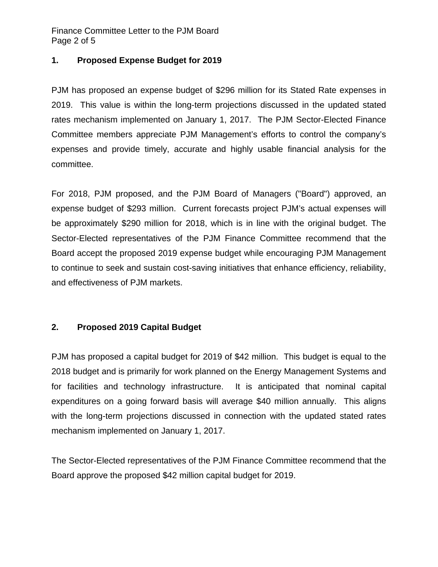Finance Committee Letter to the PJM Board Page 2 of 5

### **1. Proposed Expense Budget for 2019**

PJM has proposed an expense budget of \$296 million for its Stated Rate expenses in 2019. This value is within the long-term projections discussed in the updated stated rates mechanism implemented on January 1, 2017. The PJM Sector-Elected Finance Committee members appreciate PJM Management's efforts to control the company's expenses and provide timely, accurate and highly usable financial analysis for the committee.

For 2018, PJM proposed, and the PJM Board of Managers ("Board") approved, an expense budget of \$293 million. Current forecasts project PJM's actual expenses will be approximately \$290 million for 2018, which is in line with the original budget. The Sector-Elected representatives of the PJM Finance Committee recommend that the Board accept the proposed 2019 expense budget while encouraging PJM Management to continue to seek and sustain cost-saving initiatives that enhance efficiency, reliability, and effectiveness of PJM markets.

# **2. Proposed 2019 Capital Budget**

PJM has proposed a capital budget for 2019 of \$42 million. This budget is equal to the 2018 budget and is primarily for work planned on the Energy Management Systems and for facilities and technology infrastructure. It is anticipated that nominal capital expenditures on a going forward basis will average \$40 million annually. This aligns with the long-term projections discussed in connection with the updated stated rates mechanism implemented on January 1, 2017.

The Sector-Elected representatives of the PJM Finance Committee recommend that the Board approve the proposed \$42 million capital budget for 2019.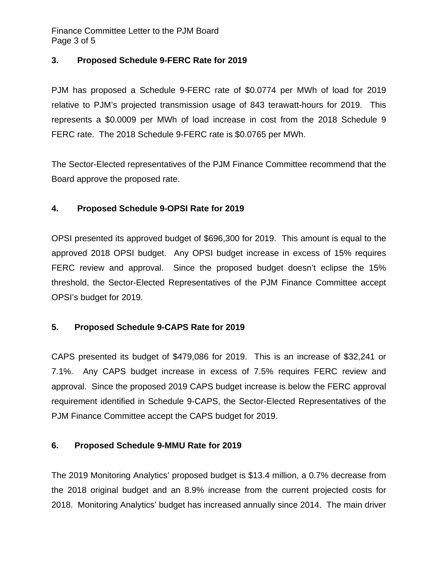Finance Committee Letter to the PJM Board Page 3 of 5

# **3. Proposed Schedule 9-FERC Rate for 2019**

PJM has proposed a Schedule 9-FERC rate of \$0.0774 per MWh of load for 2019 relative to PJM's projected transmission usage of 843 terawatt-hours for 2019. This represents a \$0.0009 per MWh of load increase in cost from the 2018 Schedule 9 FERC rate. The 2018 Schedule 9-FERC rate is \$0.0765 per MWh.

The Sector-Elected representatives of the PJM Finance Committee recommend that the Board approve the proposed rate.

# **4. Proposed Schedule 9-OPSI Rate for 2019**

OPSI presented its approved budget of \$696,300 for 2019. This amount is equal to the approved 2018 OPSI budget. Any OPSI budget increase in excess of 15% requires FERC review and approval. Since the proposed budget doesn't eclipse the 15% threshold, the Sector-Elected Representatives of the PJM Finance Committee accept OPSI's budget for 2019.

# **5. Proposed Schedule 9-CAPS Rate for 2019**

CAPS presented its budget of \$479,086 for 2019. This is an increase of \$32,241 or 7.1%. Any CAPS budget increase in excess of 7.5% requires FERC review and approval. Since the proposed 2019 CAPS budget increase is below the FERC approval requirement identified in Schedule 9-CAPS, the Sector-Elected Representatives of the PJM Finance Committee accept the CAPS budget for 2019.

#### **6. Proposed Schedule 9-MMU Rate for 2019**

The 2019 Monitoring Analytics' proposed budget is \$13.4 million, a 0.7% decrease from the 2018 original budget and an 8.9% increase from the current projected costs for 2018. Monitoring Analytics' budget has increased annually since 2014. The main driver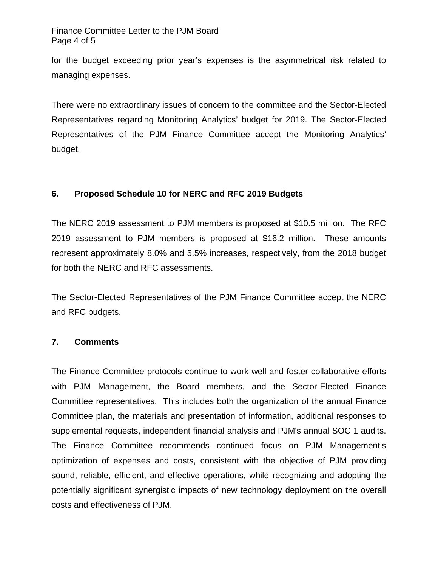#### Finance Committee Letter to the PJM Board Page 4 of 5

for the budget exceeding prior year's expenses is the asymmetrical risk related to managing expenses.

There were no extraordinary issues of concern to the committee and the Sector-Elected Representatives regarding Monitoring Analytics' budget for 2019. The Sector-Elected Representatives of the PJM Finance Committee accept the Monitoring Analytics' budget.

# **6. Proposed Schedule 10 for NERC and RFC 2019 Budgets**

The NERC 2019 assessment to PJM members is proposed at \$10.5 million. The RFC 2019 assessment to PJM members is proposed at \$16.2 million. These amounts represent approximately 8.0% and 5.5% increases, respectively, from the 2018 budget for both the NERC and RFC assessments.

The Sector-Elected Representatives of the PJM Finance Committee accept the NERC and RFC budgets.

# **7. Comments**

The Finance Committee protocols continue to work well and foster collaborative efforts with PJM Management, the Board members, and the Sector-Elected Finance Committee representatives. This includes both the organization of the annual Finance Committee plan, the materials and presentation of information, additional responses to supplemental requests, independent financial analysis and PJM's annual SOC 1 audits. The Finance Committee recommends continued focus on PJM Management's optimization of expenses and costs, consistent with the objective of PJM providing sound, reliable, efficient, and effective operations, while recognizing and adopting the potentially significant synergistic impacts of new technology deployment on the overall costs and effectiveness of PJM.